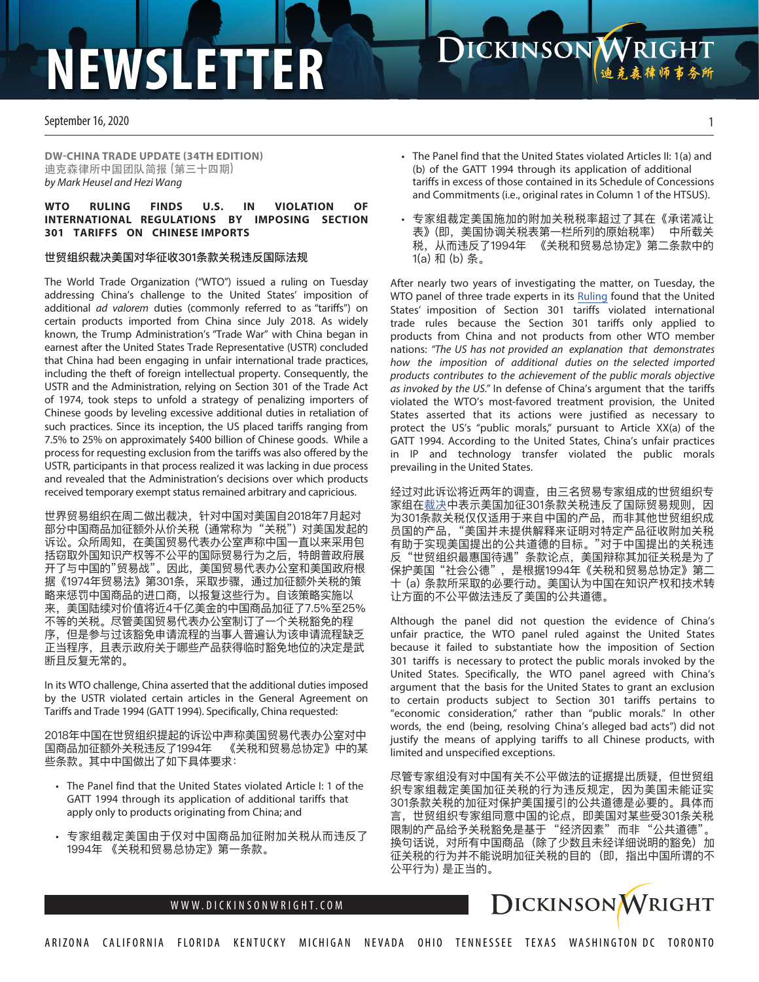# **NEWSLETTER**

September 16, 2020

**DW-CHINA TRADE UPDATE (34TH EDITION)**  迪克森律所中国团队简报 (第三十四期) *by Mark Heusel and Hezi Wang*

### **WTO RULING FINDS U.S. IN VIOLATION OF INTERNATIONAL REGULATIONS BY IMPOSING SECTION 301 TARIFFS ON CHINESE IMPORTS**

### 世贸组织裁决美国对华征收301条款关税违反国际法规

The World Trade Organization ("WTO") issued a ruling on Tuesday addressing China's challenge to the United States' imposition of additional ad valorem duties (commonly referred to as "tariffs") on certain products imported from China since July 2018. As widely known, the Trump Administration's "Trade War" with China began in earnest after the United States Trade Representative (USTR) concluded that China had been engaging in unfair international trade practices, including the theft of foreign intellectual property. Consequently, the USTR and the Administration, relying on Section 301 of the Trade Act of 1974, took steps to unfold a strategy of penalizing importers of Chinese goods by leveling excessive additional duties in retaliation of such practices. Since its inception, the US placed tariffs ranging from 7.5% to 25% on approximately \$400 billion of Chinese goods. While a process for requesting exclusion from the tariffs was also offered by the USTR, participants in that process realized it was lacking in due process and revealed that the Administration's decisions over which products received temporary exempt status remained arbitrary and capricious.

世界贸易组织在周二做出裁决,针对中国对美国自2018年7月起对 部分中国商品加征额外从价关税 (通常称为 "关税") 对美国发起的 诉讼。众所周知,在美国贸易代表办公室声称中国一直以来采用包 括窃取外国知识产权等不公平的国际贸易行为之后,特朗普政府展 开了与中国的"贸易战"。因此,美国贸易代表办公室和美国政府根 据《1974年贸易法》第301条,采取步骤,通过加征额外关税的策 略来惩罚中国商品的进口商,以报复这些行为。自该策略实施以 来,美国陆续对价值将近4千亿美金的中国商品加征了7.5%至25% 不等的关税。尽管美国贸易代表办公室制订了一个关税豁免的程 序,但是参与过该豁免申请流程的当事人普遍认为该申请流程缺乏 正当程序,且表示政府关于哪些产品获得临时豁免地位的决定是武 断且反复无常的。

In its WTO challenge, China asserted that the additional duties imposed by the USTR violated certain articles in the General Agreement on Tariffs and Trade 1994 (GATT 1994). Specifically, China requested:

2018年中国在世贸组织提起的诉讼中声称美国贸易代表办公室对中 国商品加征额外关税违反了1994年 《关税和贸易总协定》中的某 些条款。其中中国做出了如下具体要求:

- The Panel find that the United States violated Article I: 1 of the GATT 1994 through its application of additional tariffs that apply only to products originating from China; and
- 专家组裁定美国由于仅对中国商品加征附加关税从而违反了 1994年 《关税和贸易总协定》第一条款。

• The Panel find that the United States violated Articles II: 1(a) and (b) of the GATT 1994 through its application of additional tariffs in excess of those contained in its Schedule of Concessions and Commitments (i.e., original rates in Column 1 of the HTSUS).

**ICKINSON WRIGHT** 

• 专家组裁定美国施加的附加关税税率超过了其在《承诺减让 表》(即,美国协调关税表第一栏所列的原始税率) 中所载关 税,从而违反了1994年 《关税和贸易总协定》第二条款中的 1(a) 和 (b) 条。

After nearly two years of investigating the matter, on Tuesday, the WTO panel of three trade experts in its R[uling](https://docs.wto.org/dol2fe/Pages/SS/directdoc.aspx?filename=q:/WT/DS/543R.pdf&Open=True) found that the United States' imposition of Section 301 tariffs violated international trade rules because the Section 301 tariffs only applied to products from China and not products from other WTO member nations: *"The US has not provided an explanation that demonstrates how the imposition of additional duties on the selected imported products contributes to the achievement of the public morals objective as invoked by the US."* In defense of China's argument that the tariffs violated the WTO's most-favored treatment provision, the United States asserted that its actions were justified as necessary to protect the US's "public morals," pursuant to Article XX(a) of the GATT 1994. According to the United States, China's unfair practices in IP and technology transfer violated the public morals prevailing in the United States.

经过对此诉讼将近两年的调查,由三名贸易专家组成的世贸组织专 家组[在裁决中](https://docs.wto.org/dol2fe/Pages/SS/directdoc.aspx?filename=q:/WT/DS/543R.pdf&Open=True)表示美国加征301条款关税违反了国际贸易规则,因 为301条款关税仅仅适用于来自中国的产品,而非其他世贸组织成 员国的产品,"美国并未提供解释来证明对特定产品征收附加关税 有助于实现美国提出的公共道德的目标。"对于中国提出的关税违 反 "世贸组织最惠国待遇" 条款论点,美国辩称其加征关税是为了 保护美国"社会公德",是根据1994年《关税和贸易总协定》第二 十 (a) 条款所采取的必要行动。美国认为中国在知识产权和技术转 让方面的不公平做法违反了美国的公共道德。

Although the panel did not question the evidence of China's unfair practice, the WTO panel ruled against the United States because it failed to substantiate how the imposition of Section 301 tariffs is necessary to protect the public morals invoked by the United States. Specifically, the WTO panel agreed with China's argument that the basis for the United States to grant an exclusion to certain products subject to Section 301 tariffs pertains to "economic consideration," rather than "public morals." In other words, the end (being, resolving China's alleged bad acts") did not justify the means of applying tariffs to all Chinese products, with limited and unspecified exceptions.

尽管专家组没有对中国有关不公平做法的证据提出质疑,但世贸组 织专家组裁定美国加征关税的行为违反规定,因为美国未能证实 301条款关税的加征对保护美国援引的公共道德是必要的。具体而 言,世贸组织专家组同意中国的论点,即美国对某些受301条关税 限制的产品给予关税豁免是基于"经济因素"而非"公共道德" 换句话说,对所有中国商品 (除了少数且未经详细说明的豁免) 加 征关税的行为并不能说明加征关税的目的 (即,指出中国所谓的不 公平行为) 是正当的。

## WWW.DICKINSONWRIGHT.COM | COMMERCE COURT DICKINSON WRIGHT



1